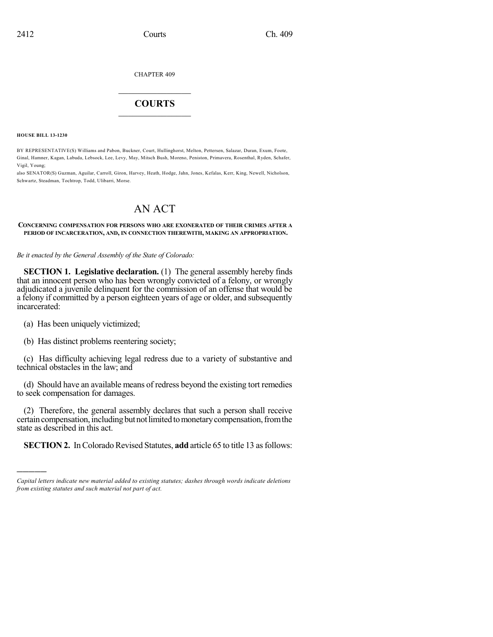CHAPTER 409

## $\mathcal{L}_\text{max}$  . The set of the set of the set of the set of the set of the set of the set of the set of the set of the set of the set of the set of the set of the set of the set of the set of the set of the set of the set **COURTS**  $\_$

**HOUSE BILL 13-1230**

)))))

BY REPRESENTATIVE(S) Williams and Pabon, Buckner, Court, Hullinghorst, Melton, Pettersen, Salazar, Duran, Exum, Foote, Ginal, Hamner, Kagan, Labuda, Lebsock, Lee, Levy, May, Mitsch Bush, Moreno, Peniston, Primavera, Rosenthal, Ryden, Schafer, Vigil, Young;

also SENATOR(S) Guzman, Aguilar, Carroll, Giron, Harvey, Heath, Hodge, Jahn, Jones, Kefalas, Kerr, King, Newell, Nicholson, Schwartz, Steadman, Tochtrop, Todd, Ulibarri, Morse.

# AN ACT

**CONCERNING COMPENSATION FOR PERSONS WHO ARE EXONERATED OF THEIR CRIMES AFTER A PERIOD OF INCARCERATION, AND, IN CONNECTION THEREWITH, MAKING AN APPROPRIATION.**

*Be it enacted by the General Assembly of the State of Colorado:*

**SECTION 1. Legislative declaration.** (1) The general assembly hereby finds that an innocent person who has been wrongly convicted of a felony, or wrongly adjudicated a juvenile delinquent for the commission of an offense that would be a felony if committed by a person eighteen years of age or older, and subsequently incarcerated:

(a) Has been uniquely victimized;

(b) Has distinct problems reentering society;

(c) Has difficulty achieving legal redress due to a variety of substantive and technical obstacles in the law; and

(d) Should have an available means of redress beyond the existing tort remedies to seek compensation for damages.

(2) Therefore, the general assembly declares that such a person shall receive certain compensation, including but not limited to monetary compensation, from the state as described in this act.

**SECTION 2.** In Colorado Revised Statutes, **add** article 65 to title 13 as follows:

*Capital letters indicate new material added to existing statutes; dashes through words indicate deletions from existing statutes and such material not part of act.*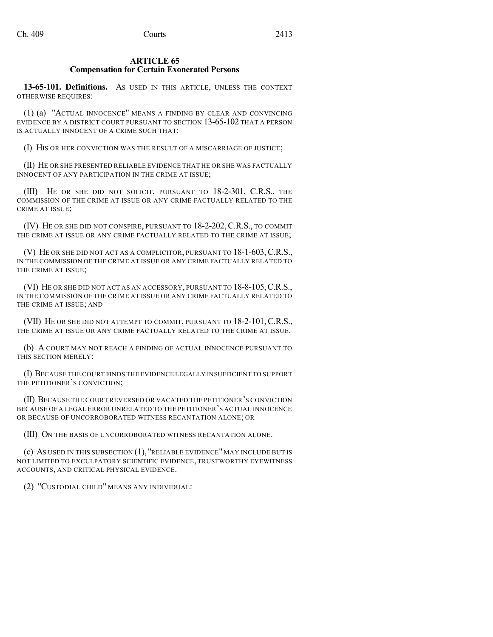#### **ARTICLE 65 Compensation for Certain Exonerated Persons**

**13-65-101. Definitions.** AS USED IN THIS ARTICLE, UNLESS THE CONTEXT OTHERWISE REQUIRES:

(1) (a) "ACTUAL INNOCENCE" MEANS A FINDING BY CLEAR AND CONVINCING EVIDENCE BY A DISTRICT COURT PURSUANT TO SECTION 13-65-102 THAT A PERSON IS ACTUALLY INNOCENT OF A CRIME SUCH THAT:

(I) HIS OR HER CONVICTION WAS THE RESULT OF A MISCARRIAGE OF JUSTICE;

(II) HE OR SHE PRESENTED RELIABLE EVIDENCE THAT HE OR SHE WAS FACTUALLY INNOCENT OF ANY PARTICIPATION IN THE CRIME AT ISSUE;

(III) HE OR SHE DID NOT SOLICIT, PURSUANT TO 18-2-301, C.R.S., THE COMMISSION OF THE CRIME AT ISSUE OR ANY CRIME FACTUALLY RELATED TO THE CRIME AT ISSUE;

(IV) HE OR SHE DID NOT CONSPIRE, PURSUANT TO 18-2-202, C.R.S., TO COMMIT THE CRIME AT ISSUE OR ANY CRIME FACTUALLY RELATED TO THE CRIME AT ISSUE;

(V) HE OR SHE DID NOT ACT AS A COMPLICITOR, PURSUANT TO 18-1-603,C.R.S., IN THE COMMISSION OF THE CRIME AT ISSUE OR ANY CRIME FACTUALLY RELATED TO THE CRIME AT ISSUE;

(VI) HE OR SHE DID NOT ACT AS AN ACCESSORY, PURSUANT TO 18-8-105,C.R.S., IN THE COMMISSION OF THE CRIME AT ISSUE OR ANY CRIME FACTUALLY RELATED TO THE CRIME AT ISSUE; AND

(VII) HE OR SHE DID NOT ATTEMPT TO COMMIT, PURSUANT TO 18-2-101,C.R.S., THE CRIME AT ISSUE OR ANY CRIME FACTUALLY RELATED TO THE CRIME AT ISSUE.

(b) A COURT MAY NOT REACH A FINDING OF ACTUAL INNOCENCE PURSUANT TO THIS SECTION MERELY:

(I) BECAUSE THE COURT FINDS THE EVIDENCE LEGALLY INSUFFICIENT TO SUPPORT THE PETITIONER'S CONVICTION;

(II) BECAUSE THE COURT REVERSED OR VACATED THE PETITIONER'S CONVICTION BECAUSE OF A LEGAL ERROR UNRELATED TO THE PETITIONER'S ACTUAL INNOCENCE OR BECAUSE OF UNCORROBORATED WITNESS RECANTATION ALONE; OR

(III) ON THE BASIS OF UNCORROBORATED WITNESS RECANTATION ALONE.

(c) AS USED IN THIS SUBSECTION (1), "RELIABLE EVIDENCE" MAY INCLUDE BUT IS NOT LIMITED TO EXCULPATORY SCIENTIFIC EVIDENCE, TRUSTWORTHY EYEWITNESS ACCOUNTS, AND CRITICAL PHYSICAL EVIDENCE.

(2) "CUSTODIAL CHILD" MEANS ANY INDIVIDUAL: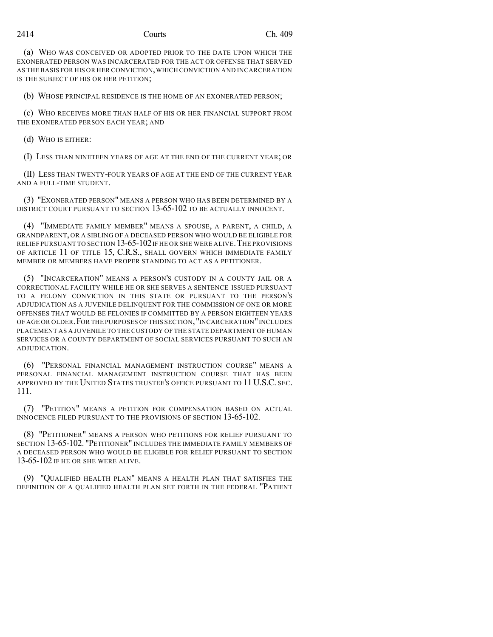#### 2414 Courts Ch. 409

(a) WHO WAS CONCEIVED OR ADOPTED PRIOR TO THE DATE UPON WHICH THE EXONERATED PERSON WAS INCARCERATED FOR THE ACT OR OFFENSE THAT SERVED AS THE BASIS FOR HIS OR HER CONVICTION,WHICH CONVICTION AND INCARCERATION IS THE SUBJECT OF HIS OR HER PETITION;

(b) WHOSE PRINCIPAL RESIDENCE IS THE HOME OF AN EXONERATED PERSON;

(c) WHO RECEIVES MORE THAN HALF OF HIS OR HER FINANCIAL SUPPORT FROM THE EXONERATED PERSON EACH YEAR; AND

(d) WHO IS EITHER:

(I) LESS THAN NINETEEN YEARS OF AGE AT THE END OF THE CURRENT YEAR; OR

(II) LESS THAN TWENTY-FOUR YEARS OF AGE AT THE END OF THE CURRENT YEAR AND A FULL-TIME STUDENT.

(3) "EXONERATED PERSON" MEANS A PERSON WHO HAS BEEN DETERMINED BY A DISTRICT COURT PURSUANT TO SECTION 13-65-102 TO BE ACTUALLY INNOCENT.

(4) "IMMEDIATE FAMILY MEMBER" MEANS A SPOUSE, A PARENT, A CHILD, A GRANDPARENT, OR A SIBLING OF A DECEASED PERSON WHO WOULD BE ELIGIBLE FOR RELIEF PURSUANT TO SECTION 13-65-102 IF HE OR SHE WERE ALIVE. THE PROVISIONS OF ARTICLE 11 OF TITLE 15, C.R.S., SHALL GOVERN WHICH IMMEDIATE FAMILY MEMBER OR MEMBERS HAVE PROPER STANDING TO ACT AS A PETITIONER.

(5) "INCARCERATION" MEANS A PERSON'S CUSTODY IN A COUNTY JAIL OR A CORRECTIONAL FACILITY WHILE HE OR SHE SERVES A SENTENCE ISSUED PURSUANT TO A FELONY CONVICTION IN THIS STATE OR PURSUANT TO THE PERSON'S ADJUDICATION AS A JUVENILE DELINQUENT FOR THE COMMISSION OF ONE OR MORE OFFENSES THAT WOULD BE FELONIES IF COMMITTED BY A PERSON EIGHTEEN YEARS OF AGE OR OLDER.FOR THE PURPOSES OF THIS SECTION,"INCARCERATION"INCLUDES PLACEMENT AS A JUVENILE TO THE CUSTODY OF THE STATE DEPARTMENT OF HUMAN SERVICES OR A COUNTY DEPARTMENT OF SOCIAL SERVICES PURSUANT TO SUCH AN ADJUDICATION.

(6) "PERSONAL FINANCIAL MANAGEMENT INSTRUCTION COURSE" MEANS A PERSONAL FINANCIAL MANAGEMENT INSTRUCTION COURSE THAT HAS BEEN APPROVED BY THE UNITED STATES TRUSTEE'S OFFICE PURSUANT TO 11 U.S.C. SEC. 111.

(7) "PETITION" MEANS A PETITION FOR COMPENSATION BASED ON ACTUAL INNOCENCE FILED PURSUANT TO THE PROVISIONS OF SECTION 13-65-102.

(8) "PETITIONER" MEANS A PERSON WHO PETITIONS FOR RELIEF PURSUANT TO SECTION 13-65-102. "PETITIONER" INCLUDES THE IMMEDIATE FAMILY MEMBERS OF A DECEASED PERSON WHO WOULD BE ELIGIBLE FOR RELIEF PURSUANT TO SECTION 13-65-102 IF HE OR SHE WERE ALIVE.

(9) "QUALIFIED HEALTH PLAN" MEANS A HEALTH PLAN THAT SATISFIES THE DEFINITION OF A QUALIFIED HEALTH PLAN SET FORTH IN THE FEDERAL "PATIENT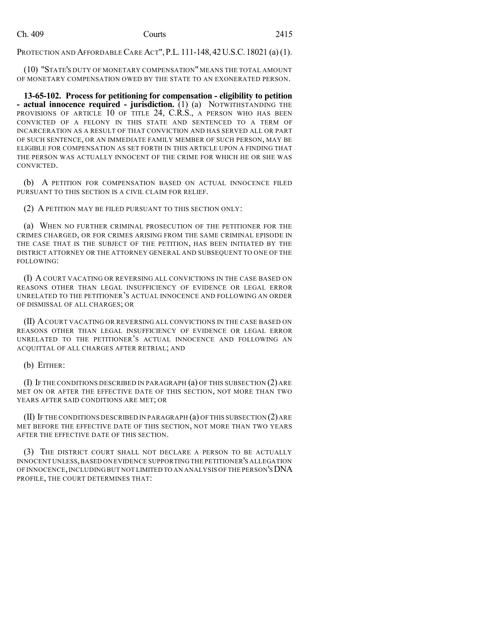PROTECTION AND AFFORDABLE CARE ACT",P.L. 111-148, 42U.S.C. 18021 (a)(1).

(10) "STATE'S DUTY OF MONETARY COMPENSATION" MEANS THE TOTAL AMOUNT OF MONETARY COMPENSATION OWED BY THE STATE TO AN EXONERATED PERSON.

**13-65-102. Process for petitioning for compensation - eligibility to petition - actual innocence required - jurisdiction.** (1) (a) NOTWITHSTANDING THE PROVISIONS OF ARTICLE 10 OF TITLE 24, C.R.S., A PERSON WHO HAS BEEN CONVICTED OF A FELONY IN THIS STATE AND SENTENCED TO A TERM OF INCARCERATION AS A RESULT OF THAT CONVICTION AND HAS SERVED ALL OR PART OF SUCH SENTENCE, OR AN IMMEDIATE FAMILY MEMBER OF SUCH PERSON, MAY BE ELIGIBLE FOR COMPENSATION AS SET FORTH IN THIS ARTICLE UPON A FINDING THAT THE PERSON WAS ACTUALLY INNOCENT OF THE CRIME FOR WHICH HE OR SHE WAS CONVICTED.

(b) A PETITION FOR COMPENSATION BASED ON ACTUAL INNOCENCE FILED PURSUANT TO THIS SECTION IS A CIVIL CLAIM FOR RELIEF.

(2) A PETITION MAY BE FILED PURSUANT TO THIS SECTION ONLY:

(a) WHEN NO FURTHER CRIMINAL PROSECUTION OF THE PETITIONER FOR THE CRIMES CHARGED, OR FOR CRIMES ARISING FROM THE SAME CRIMINAL EPISODE IN THE CASE THAT IS THE SUBJECT OF THE PETITION, HAS BEEN INITIATED BY THE DISTRICT ATTORNEY OR THE ATTORNEY GENERAL AND SUBSEQUENT TO ONE OF THE FOLLOWING:

(I) A COURT VACATING OR REVERSING ALL CONVICTIONS IN THE CASE BASED ON REASONS OTHER THAN LEGAL INSUFFICIENCY OF EVIDENCE OR LEGAL ERROR UNRELATED TO THE PETITIONER'S ACTUAL INNOCENCE AND FOLLOWING AN ORDER OF DISMISSAL OF ALL CHARGES; OR

(II) ACOURT VACATING OR REVERSING ALL CONVICTIONS IN THE CASE BASED ON REASONS OTHER THAN LEGAL INSUFFICIENCY OF EVIDENCE OR LEGAL ERROR UNRELATED TO THE PETITIONER'S ACTUAL INNOCENCE AND FOLLOWING AN ACQUITTAL OF ALL CHARGES AFTER RETRIAL; AND

(b) EITHER:

(I) IF THE CONDITIONS DESCRIBED IN PARAGRAPH (a) OF THIS SUBSECTION (2) ARE MET ON OR AFTER THE EFFECTIVE DATE OF THIS SECTION, NOT MORE THAN TWO YEARS AFTER SAID CONDITIONS ARE MET; OR

 $(II)$  If the conditions described in paragraph  $(a)$  of this subsection  $(2)$  are MET BEFORE THE EFFECTIVE DATE OF THIS SECTION, NOT MORE THAN TWO YEARS AFTER THE EFFECTIVE DATE OF THIS SECTION.

(3) THE DISTRICT COURT SHALL NOT DECLARE A PERSON TO BE ACTUALLY INNOCENT UNLESS,BASED ON EVIDENCE SUPPORTING THE PETITIONER'S ALLEGATION OF INNOCENCE, INCLUDING BUT NOT LIMITED TO AN ANALYSIS OF THE PERSON'S DNA PROFILE, THE COURT DETERMINES THAT: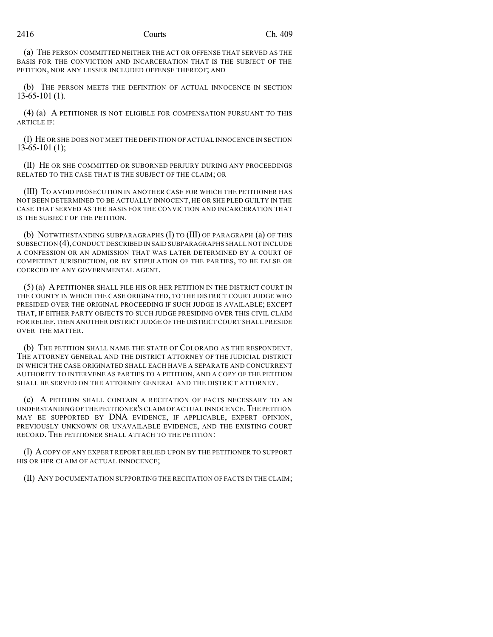### 2416 Courts Ch. 409

(a) THE PERSON COMMITTED NEITHER THE ACT OR OFFENSE THAT SERVED AS THE BASIS FOR THE CONVICTION AND INCARCERATION THAT IS THE SUBJECT OF THE PETITION, NOR ANY LESSER INCLUDED OFFENSE THEREOF; AND

(b) THE PERSON MEETS THE DEFINITION OF ACTUAL INNOCENCE IN SECTION 13-65-101 (1).

(4) (a) A PETITIONER IS NOT ELIGIBLE FOR COMPENSATION PURSUANT TO THIS ARTICLE IF:

(I) HE OR SHE DOES NOT MEET THE DEFINITION OF ACTUAL INNOCENCE IN SECTION  $13-65-101(1);$ 

(II) HE OR SHE COMMITTED OR SUBORNED PERJURY DURING ANY PROCEEDINGS RELATED TO THE CASE THAT IS THE SUBJECT OF THE CLAIM; OR

(III) TO AVOID PROSECUTION IN ANOTHER CASE FOR WHICH THE PETITIONER HAS NOT BEEN DETERMINED TO BE ACTUALLY INNOCENT, HE OR SHE PLED GUILTY IN THE CASE THAT SERVED AS THE BASIS FOR THE CONVICTION AND INCARCERATION THAT IS THE SUBJECT OF THE PETITION.

(b) NOTWITHSTANDING SUBPARAGRAPHS (I) TO (III) OF PARAGRAPH (a) OF THIS SUBSECTION (4), CONDUCT DESCRIBED IN SAID SUBPARAGRAPHS SHALL NOT INCLUDE A CONFESSION OR AN ADMISSION THAT WAS LATER DETERMINED BY A COURT OF COMPETENT JURISDICTION, OR BY STIPULATION OF THE PARTIES, TO BE FALSE OR COERCED BY ANY GOVERNMENTAL AGENT.

(5) (a) A PETITIONER SHALL FILE HIS OR HER PETITION IN THE DISTRICT COURT IN THE COUNTY IN WHICH THE CASE ORIGINATED, TO THE DISTRICT COURT JUDGE WHO PRESIDED OVER THE ORIGINAL PROCEEDING IF SUCH JUDGE IS AVAILABLE; EXCEPT THAT, IF EITHER PARTY OBJECTS TO SUCH JUDGE PRESIDING OVER THIS CIVIL CLAIM FOR RELIEF, THEN ANOTHER DISTRICT JUDGE OF THE DISTRICT COURT SHALL PRESIDE OVER THE MATTER.

(b) THE PETITION SHALL NAME THE STATE OF COLORADO AS THE RESPONDENT. THE ATTORNEY GENERAL AND THE DISTRICT ATTORNEY OF THE JUDICIAL DISTRICT IN WHICH THE CASE ORIGINATED SHALL EACH HAVE A SEPARATE AND CONCURRENT AUTHORITY TO INTERVENE AS PARTIES TO A PETITION, AND A COPY OF THE PETITION SHALL BE SERVED ON THE ATTORNEY GENERAL AND THE DISTRICT ATTORNEY.

(c) A PETITION SHALL CONTAIN A RECITATION OF FACTS NECESSARY TO AN UNDERSTANDING OF THE PETITIONER'S CLAIM OF ACTUAL INNOCENCE.THE PETITION MAY BE SUPPORTED BY DNA EVIDENCE, IF APPLICABLE, EXPERT OPINION, PREVIOUSLY UNKNOWN OR UNAVAILABLE EVIDENCE, AND THE EXISTING COURT RECORD. THE PETITIONER SHALL ATTACH TO THE PETITION:

(I) ACOPY OF ANY EXPERT REPORT RELIED UPON BY THE PETITIONER TO SUPPORT HIS OR HER CLAIM OF ACTUAL INNOCENCE;

(II) ANY DOCUMENTATION SUPPORTING THE RECITATION OF FACTS IN THE CLAIM;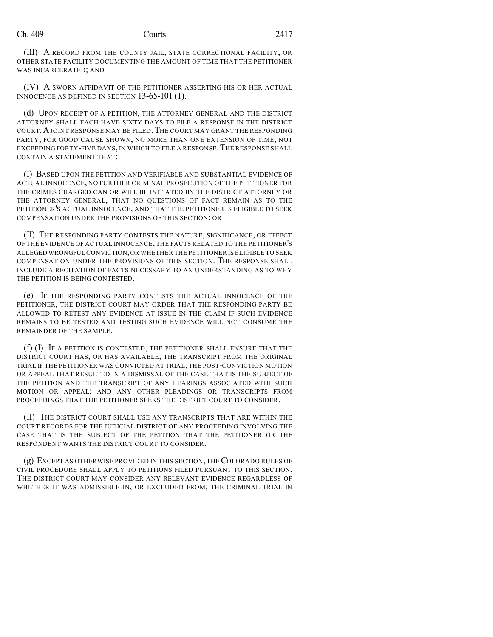(III) A RECORD FROM THE COUNTY JAIL, STATE CORRECTIONAL FACILITY, OR OTHER STATE FACILITY DOCUMENTING THE AMOUNT OF TIME THAT THE PETITIONER WAS INCARCERATED; AND

(IV) A SWORN AFFIDAVIT OF THE PETITIONER ASSERTING HIS OR HER ACTUAL INNOCENCE AS DEFINED IN SECTION 13-65-101 (1).

(d) UPON RECEIPT OF A PETITION, THE ATTORNEY GENERAL AND THE DISTRICT ATTORNEY SHALL EACH HAVE SIXTY DAYS TO FILE A RESPONSE IN THE DISTRICT COURT.AJOINT RESPONSE MAY BE FILED.THE COURT MAY GRANT THE RESPONDING PARTY, FOR GOOD CAUSE SHOWN, NO MORE THAN ONE EXTENSION OF TIME, NOT EXCEEDING FORTY-FIVE DAYS, IN WHICH TO FILE A RESPONSE.THE RESPONSE SHALL CONTAIN A STATEMENT THAT:

(I) BASED UPON THE PETITION AND VERIFIABLE AND SUBSTANTIAL EVIDENCE OF ACTUAL INNOCENCE, NO FURTHER CRIMINAL PROSECUTION OF THE PETITIONER FOR THE CRIMES CHARGED CAN OR WILL BE INITIATED BY THE DISTRICT ATTORNEY OR THE ATTORNEY GENERAL, THAT NO QUESTIONS OF FACT REMAIN AS TO THE PETITIONER'S ACTUAL INNOCENCE, AND THAT THE PETITIONER IS ELIGIBLE TO SEEK COMPENSATION UNDER THE PROVISIONS OF THIS SECTION; OR

(II) THE RESPONDING PARTY CONTESTS THE NATURE, SIGNIFICANCE, OR EFFECT OF THE EVIDENCE OF ACTUAL INNOCENCE, THE FACTS RELATED TO THE PETITIONER'S ALLEGED WRONGFUL CONVICTION,OR WHETHER THE PETITIONER IS ELIGIBLE TO SEEK COMPENSATION UNDER THE PROVISIONS OF THIS SECTION. THE RESPONSE SHALL INCLUDE A RECITATION OF FACTS NECESSARY TO AN UNDERSTANDING AS TO WHY THE PETITION IS BEING CONTESTED.

(e) IF THE RESPONDING PARTY CONTESTS THE ACTUAL INNOCENCE OF THE PETITIONER, THE DISTRICT COURT MAY ORDER THAT THE RESPONDING PARTY BE ALLOWED TO RETEST ANY EVIDENCE AT ISSUE IN THE CLAIM IF SUCH EVIDENCE REMAINS TO BE TESTED AND TESTING SUCH EVIDENCE WILL NOT CONSUME THE REMAINDER OF THE SAMPLE.

(f) (I) IF A PETITION IS CONTESTED, THE PETITIONER SHALL ENSURE THAT THE DISTRICT COURT HAS, OR HAS AVAILABLE, THE TRANSCRIPT FROM THE ORIGINAL TRIAL IF THE PETITIONER WAS CONVICTED AT TRIAL, THE POST-CONVICTION MOTION OR APPEAL THAT RESULTED IN A DISMISSAL OF THE CASE THAT IS THE SUBJECT OF THE PETITION AND THE TRANSCRIPT OF ANY HEARINGS ASSOCIATED WITH SUCH MOTION OR APPEAL; AND ANY OTHER PLEADINGS OR TRANSCRIPTS FROM PROCEEDINGS THAT THE PETITIONER SEEKS THE DISTRICT COURT TO CONSIDER.

(II) THE DISTRICT COURT SHALL USE ANY TRANSCRIPTS THAT ARE WITHIN THE COURT RECORDS FOR THE JUDICIAL DISTRICT OF ANY PROCEEDING INVOLVING THE CASE THAT IS THE SUBJECT OF THE PETITION THAT THE PETITIONER OR THE RESPONDENT WANTS THE DISTRICT COURT TO CONSIDER.

(g) EXCEPT AS OTHERWISE PROVIDED IN THIS SECTION, THE COLORADO RULES OF CIVIL PROCEDURE SHALL APPLY TO PETITIONS FILED PURSUANT TO THIS SECTION. THE DISTRICT COURT MAY CONSIDER ANY RELEVANT EVIDENCE REGARDLESS OF WHETHER IT WAS ADMISSIBLE IN, OR EXCLUDED FROM, THE CRIMINAL TRIAL IN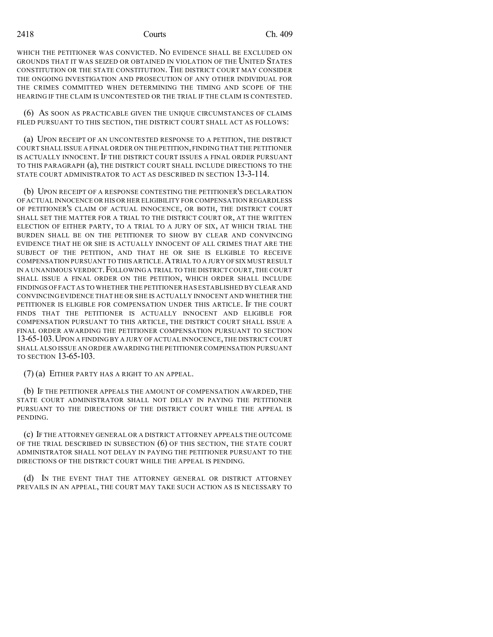WHICH THE PETITIONER WAS CONVICTED. NO EVIDENCE SHALL BE EXCLUDED ON GROUNDS THAT IT WAS SEIZED OR OBTAINED IN VIOLATION OF THE UNITED STATES CONSTITUTION OR THE STATE CONSTITUTION. THE DISTRICT COURT MAY CONSIDER THE ONGOING INVESTIGATION AND PROSECUTION OF ANY OTHER INDIVIDUAL FOR THE CRIMES COMMITTED WHEN DETERMINING THE TIMING AND SCOPE OF THE HEARING IF THE CLAIM IS UNCONTESTED OR THE TRIAL IF THE CLAIM IS CONTESTED.

(6) AS SOON AS PRACTICABLE GIVEN THE UNIQUE CIRCUMSTANCES OF CLAIMS FILED PURSUANT TO THIS SECTION, THE DISTRICT COURT SHALL ACT AS FOLLOWS:

(a) UPON RECEIPT OF AN UNCONTESTED RESPONSE TO A PETITION, THE DISTRICT COURT SHALL ISSUE A FINAL ORDER ON THE PETITION,FINDING THAT THE PETITIONER IS ACTUALLY INNOCENT. IF THE DISTRICT COURT ISSUES A FINAL ORDER PURSUANT TO THIS PARAGRAPH (a), THE DISTRICT COURT SHALL INCLUDE DIRECTIONS TO THE STATE COURT ADMINISTRATOR TO ACT AS DESCRIBED IN SECTION 13-3-114.

(b) UPON RECEIPT OF A RESPONSE CONTESTING THE PETITIONER'S DECLARATION OF ACTUAL INNOCENCE OR HIS OR HER ELIGIBILITY FOR COMPENSATION REGARDLESS OF PETITIONER'S CLAIM OF ACTUAL INNOCENCE, OR BOTH, THE DISTRICT COURT SHALL SET THE MATTER FOR A TRIAL TO THE DISTRICT COURT OR, AT THE WRITTEN ELECTION OF EITHER PARTY, TO A TRIAL TO A JURY OF SIX, AT WHICH TRIAL THE BURDEN SHALL BE ON THE PETITIONER TO SHOW BY CLEAR AND CONVINCING EVIDENCE THAT HE OR SHE IS ACTUALLY INNOCENT OF ALL CRIMES THAT ARE THE SUBJECT OF THE PETITION, AND THAT HE OR SHE IS ELIGIBLE TO RECEIVE COMPENSATION PURSUANT TO THIS ARTICLE.ATRIAL TO A JURY OFSIX MUST RESULT IN A UNANIMOUS VERDICT.FOLLOWING A TRIAL TO THE DISTRICT COURT,THE COURT SHALL ISSUE A FINAL ORDER ON THE PETITION, WHICH ORDER SHALL INCLUDE FINDINGS OF FACT AS TO WHETHER THE PETITIONER HAS ESTABLISHED BY CLEAR AND CONVINCING EVIDENCE THAT HE OR SHE IS ACTUALLY INNOCENT AND WHETHER THE PETITIONER IS ELIGIBLE FOR COMPENSATION UNDER THIS ARTICLE. IF THE COURT FINDS THAT THE PETITIONER IS ACTUALLY INNOCENT AND ELIGIBLE FOR COMPENSATION PURSUANT TO THIS ARTICLE, THE DISTRICT COURT SHALL ISSUE A FINAL ORDER AWARDING THE PETITIONER COMPENSATION PURSUANT TO SECTION 13-65-103.UPON A FINDING BY A JURY OF ACTUAL INNOCENCE,THE DISTRICT COURT SHALL ALSO ISSUE AN ORDER AWARDING THE PETITIONER COMPENSATION PURSUANT TO SECTION 13-65-103.

(7) (a) EITHER PARTY HAS A RIGHT TO AN APPEAL.

(b) IF THE PETITIONER APPEALS THE AMOUNT OF COMPENSATION AWARDED, THE STATE COURT ADMINISTRATOR SHALL NOT DELAY IN PAYING THE PETITIONER PURSUANT TO THE DIRECTIONS OF THE DISTRICT COURT WHILE THE APPEAL IS PENDING.

(c) IF THE ATTORNEY GENERAL OR A DISTRICT ATTORNEY APPEALS THE OUTCOME OF THE TRIAL DESCRIBED IN SUBSECTION (6) OF THIS SECTION, THE STATE COURT ADMINISTRATOR SHALL NOT DELAY IN PAYING THE PETITIONER PURSUANT TO THE DIRECTIONS OF THE DISTRICT COURT WHILE THE APPEAL IS PENDING.

(d) IN THE EVENT THAT THE ATTORNEY GENERAL OR DISTRICT ATTORNEY PREVAILS IN AN APPEAL, THE COURT MAY TAKE SUCH ACTION AS IS NECESSARY TO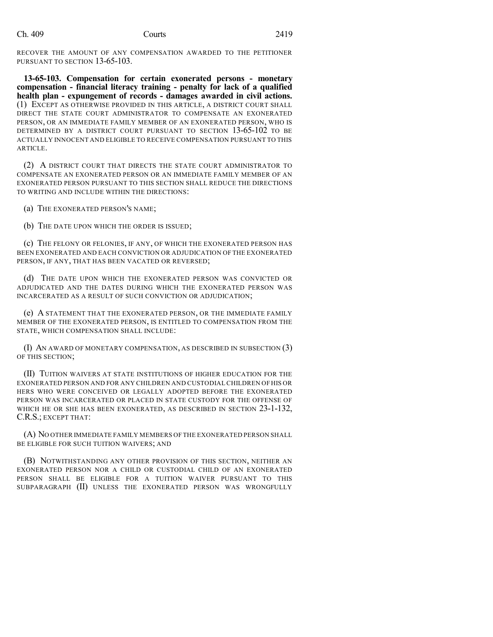RECOVER THE AMOUNT OF ANY COMPENSATION AWARDED TO THE PETITIONER PURSUANT TO SECTION 13-65-103.

**13-65-103. Compensation for certain exonerated persons - monetary compensation - financial literacy training - penalty for lack of a qualified health plan - expungement of records - damages awarded in civil actions.** (1) EXCEPT AS OTHERWISE PROVIDED IN THIS ARTICLE, A DISTRICT COURT SHALL DIRECT THE STATE COURT ADMINISTRATOR TO COMPENSATE AN EXONERATED PERSON, OR AN IMMEDIATE FAMILY MEMBER OF AN EXONERATED PERSON, WHO IS DETERMINED BY A DISTRICT COURT PURSUANT TO SECTION 13-65-102 TO BE ACTUALLY INNOCENT AND ELIGIBLE TO RECEIVE COMPENSATION PURSUANT TO THIS ARTICLE.

(2) A DISTRICT COURT THAT DIRECTS THE STATE COURT ADMINISTRATOR TO COMPENSATE AN EXONERATED PERSON OR AN IMMEDIATE FAMILY MEMBER OF AN EXONERATED PERSON PURSUANT TO THIS SECTION SHALL REDUCE THE DIRECTIONS TO WRITING AND INCLUDE WITHIN THE DIRECTIONS:

(a) THE EXONERATED PERSON'S NAME;

(b) THE DATE UPON WHICH THE ORDER IS ISSUED;

(c) THE FELONY OR FELONIES, IF ANY, OF WHICH THE EXONERATED PERSON HAS BEEN EXONERATED AND EACH CONVICTION OR ADJUDICATION OF THE EXONERATED PERSON, IF ANY, THAT HAS BEEN VACATED OR REVERSED;

(d) THE DATE UPON WHICH THE EXONERATED PERSON WAS CONVICTED OR ADJUDICATED AND THE DATES DURING WHICH THE EXONERATED PERSON WAS INCARCERATED AS A RESULT OF SUCH CONVICTION OR ADJUDICATION;

(e) A STATEMENT THAT THE EXONERATED PERSON, OR THE IMMEDIATE FAMILY MEMBER OF THE EXONERATED PERSON, IS ENTITLED TO COMPENSATION FROM THE STATE, WHICH COMPENSATION SHALL INCLUDE:

(I) AN AWARD OF MONETARY COMPENSATION, AS DESCRIBED IN SUBSECTION (3) OF THIS SECTION;

(II) TUITION WAIVERS AT STATE INSTITUTIONS OF HIGHER EDUCATION FOR THE EXONERATED PERSON AND FOR ANY CHILDREN AND CUSTODIAL CHILDREN OF HIS OR HERS WHO WERE CONCEIVED OR LEGALLY ADOPTED BEFORE THE EXONERATED PERSON WAS INCARCERATED OR PLACED IN STATE CUSTODY FOR THE OFFENSE OF WHICH HE OR SHE HAS BEEN EXONERATED, AS DESCRIBED IN SECTION 23-1-132, C.R.S.; EXCEPT THAT:

(A) NO OTHER IMMEDIATE FAMILY MEMBERS OF THE EXONERATED PERSON SHALL BE ELIGIBLE FOR SUCH TUITION WAIVERS; AND

(B) NOTWITHSTANDING ANY OTHER PROVISION OF THIS SECTION, NEITHER AN EXONERATED PERSON NOR A CHILD OR CUSTODIAL CHILD OF AN EXONERATED PERSON SHALL BE ELIGIBLE FOR A TUITION WAIVER PURSUANT TO THIS SUBPARAGRAPH (II) UNLESS THE EXONERATED PERSON WAS WRONGFULLY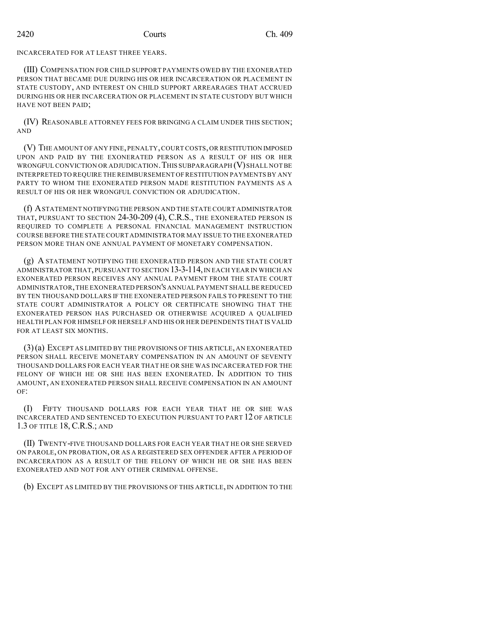INCARCERATED FOR AT LEAST THREE YEARS.

(III) COMPENSATION FOR CHILD SUPPORT PAYMENTS OWED BY THE EXONERATED PERSON THAT BECAME DUE DURING HIS OR HER INCARCERATION OR PLACEMENT IN STATE CUSTODY, AND INTEREST ON CHILD SUPPORT ARREARAGES THAT ACCRUED DURING HIS OR HER INCARCERATION OR PLACEMENT IN STATE CUSTODY BUT WHICH HAVE NOT BEEN PAID;

(IV) REASONABLE ATTORNEY FEES FOR BRINGING A CLAIM UNDER THIS SECTION; AND

(V) THE AMOUNT OF ANY FINE,PENALTY,COURT COSTS,OR RESTITUTION IMPOSED UPON AND PAID BY THE EXONERATED PERSON AS A RESULT OF HIS OR HER WRONGFUL CONVICTION OR ADJUDICATION. THIS SUBPARAGRAPH (V) SHALL NOT BE INTERPRETED TO REQUIRE THE REIMBURSEMENT OF RESTITUTION PAYMENTS BY ANY PARTY TO WHOM THE EXONERATED PERSON MADE RESTITUTION PAYMENTS AS A RESULT OF HIS OR HER WRONGFUL CONVICTION OR ADJUDICATION.

(f) ASTATEMENT NOTIFYING THE PERSON AND THE STATE COURT ADMINISTRATOR THAT, PURSUANT TO SECTION 24-30-209 (4), C.R.S., THE EXONERATED PERSON IS REQUIRED TO COMPLETE A PERSONAL FINANCIAL MANAGEMENT INSTRUCTION COURSE BEFORE THE STATE COURT ADMINISTRATOR MAY ISSUE TO THE EXONERATED PERSON MORE THAN ONE ANNUAL PAYMENT OF MONETARY COMPENSATION.

(g) A STATEMENT NOTIFYING THE EXONERATED PERSON AND THE STATE COURT ADMINISTRATOR THAT, PURSUANT TO SECTION 13-3-114, IN EACH YEAR IN WHICH AN EXONERATED PERSON RECEIVES ANY ANNUAL PAYMENT FROM THE STATE COURT ADMINISTRATOR,THE EXONERATED PERSON'S ANNUAL PAYMENT SHALL BE REDUCED BY TEN THOUSAND DOLLARS IF THE EXONERATED PERSON FAILS TO PRESENT TO THE STATE COURT ADMINISTRATOR A POLICY OR CERTIFICATE SHOWING THAT THE EXONERATED PERSON HAS PURCHASED OR OTHERWISE ACQUIRED A QUALIFIED HEALTH PLAN FOR HIMSELF OR HERSELF AND HIS OR HER DEPENDENTS THAT IS VALID FOR AT LEAST SIX MONTHS.

(3)(a) EXCEPT AS LIMITED BY THE PROVISIONS OF THIS ARTICLE, AN EXONERATED PERSON SHALL RECEIVE MONETARY COMPENSATION IN AN AMOUNT OF SEVENTY THOUSAND DOLLARS FOR EACH YEAR THAT HE OR SHE WAS INCARCERATED FOR THE FELONY OF WHICH HE OR SHE HAS BEEN EXONERATED. IN ADDITION TO THIS AMOUNT, AN EXONERATED PERSON SHALL RECEIVE COMPENSATION IN AN AMOUNT OF:

(I) FIFTY THOUSAND DOLLARS FOR EACH YEAR THAT HE OR SHE WAS INCARCERATED AND SENTENCED TO EXECUTION PURSUANT TO PART 12 OF ARTICLE 1.3 OF TITLE 18, C.R.S.; AND

(II) TWENTY-FIVE THOUSAND DOLLARS FOR EACH YEAR THAT HE OR SHE SERVED ON PAROLE, ON PROBATION, OR AS A REGISTERED SEX OFFENDER AFTER A PERIOD OF INCARCERATION AS A RESULT OF THE FELONY OF WHICH HE OR SHE HAS BEEN EXONERATED AND NOT FOR ANY OTHER CRIMINAL OFFENSE.

(b) EXCEPT AS LIMITED BY THE PROVISIONS OF THIS ARTICLE, IN ADDITION TO THE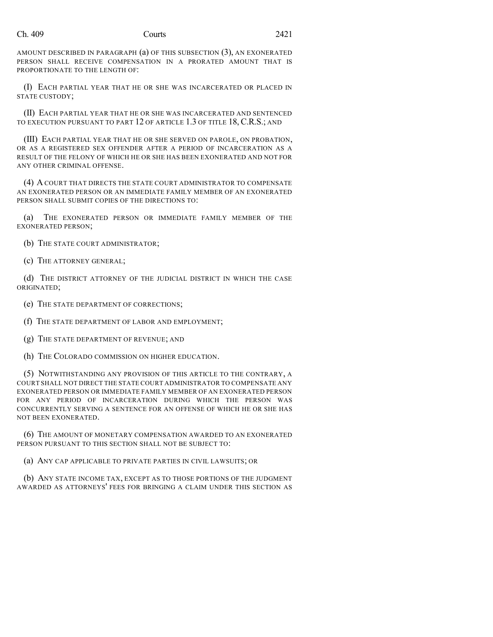AMOUNT DESCRIBED IN PARAGRAPH (a) OF THIS SUBSECTION (3), AN EXONERATED PERSON SHALL RECEIVE COMPENSATION IN A PRORATED AMOUNT THAT IS PROPORTIONATE TO THE LENGTH OF:

(I) EACH PARTIAL YEAR THAT HE OR SHE WAS INCARCERATED OR PLACED IN STATE CUSTODY;

(II) EACH PARTIAL YEAR THAT HE OR SHE WAS INCARCERATED AND SENTENCED TO EXECUTION PURSUANT TO PART 12 OF ARTICLE 1.3 OF TITLE 18, C.R.S.; AND

(III) EACH PARTIAL YEAR THAT HE OR SHE SERVED ON PAROLE, ON PROBATION, OR AS A REGISTERED SEX OFFENDER AFTER A PERIOD OF INCARCERATION AS A RESULT OF THE FELONY OF WHICH HE OR SHE HAS BEEN EXONERATED AND NOT FOR ANY OTHER CRIMINAL OFFENSE.

(4) A COURT THAT DIRECTS THE STATE COURT ADMINISTRATOR TO COMPENSATE AN EXONERATED PERSON OR AN IMMEDIATE FAMILY MEMBER OF AN EXONERATED PERSON SHALL SUBMIT COPIES OF THE DIRECTIONS TO:

(a) THE EXONERATED PERSON OR IMMEDIATE FAMILY MEMBER OF THE EXONERATED PERSON;

(b) THE STATE COURT ADMINISTRATOR;

(c) THE ATTORNEY GENERAL;

(d) THE DISTRICT ATTORNEY OF THE JUDICIAL DISTRICT IN WHICH THE CASE ORIGINATED;

(e) THE STATE DEPARTMENT OF CORRECTIONS;

(f) THE STATE DEPARTMENT OF LABOR AND EMPLOYMENT;

(g) THE STATE DEPARTMENT OF REVENUE; AND

(h) THE COLORADO COMMISSION ON HIGHER EDUCATION.

(5) NOTWITHSTANDING ANY PROVISION OF THIS ARTICLE TO THE CONTRARY, A COURT SHALL NOT DIRECT THE STATE COURT ADMINISTRATOR TO COMPENSATE ANY EXONERATED PERSON OR IMMEDIATE FAMILY MEMBER OF AN EXONERATED PERSON FOR ANY PERIOD OF INCARCERATION DURING WHICH THE PERSON WAS CONCURRENTLY SERVING A SENTENCE FOR AN OFFENSE OF WHICH HE OR SHE HAS NOT BEEN EXONERATED.

(6) THE AMOUNT OF MONETARY COMPENSATION AWARDED TO AN EXONERATED PERSON PURSUANT TO THIS SECTION SHALL NOT BE SUBJECT TO:

(a) ANY CAP APPLICABLE TO PRIVATE PARTIES IN CIVIL LAWSUITS; OR

(b) ANY STATE INCOME TAX, EXCEPT AS TO THOSE PORTIONS OF THE JUDGMENT AWARDED AS ATTORNEYS' FEES FOR BRINGING A CLAIM UNDER THIS SECTION AS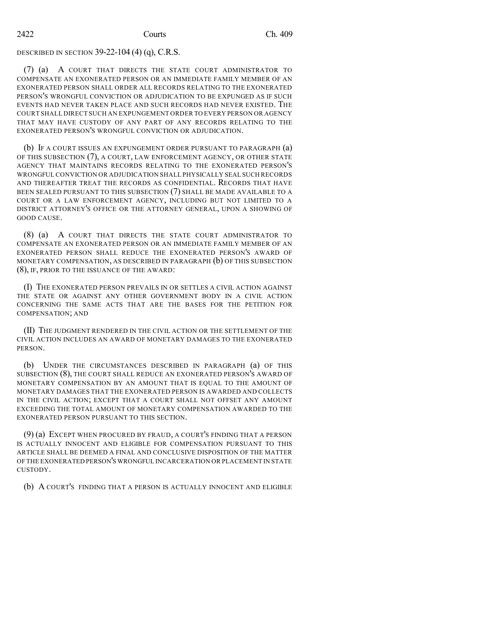### DESCRIBED IN SECTION 39-22-104 (4) (q), C.R.S.

(7) (a) A COURT THAT DIRECTS THE STATE COURT ADMINISTRATOR TO COMPENSATE AN EXONERATED PERSON OR AN IMMEDIATE FAMILY MEMBER OF AN EXONERATED PERSON SHALL ORDER ALL RECORDS RELATING TO THE EXONERATED PERSON'S WRONGFUL CONVICTION OR ADJUDICATION TO BE EXPUNGED AS IF SUCH EVENTS HAD NEVER TAKEN PLACE AND SUCH RECORDS HAD NEVER EXISTED. THE COURT SHALL DIRECT SUCH AN EXPUNGEMENT ORDER TO EVERY PERSON OR AGENCY THAT MAY HAVE CUSTODY OF ANY PART OF ANY RECORDS RELATING TO THE EXONERATED PERSON'S WRONGFUL CONVICTION OR ADJUDICATION.

(b) IF A COURT ISSUES AN EXPUNGEMENT ORDER PURSUANT TO PARAGRAPH (a) OF THIS SUBSECTION (7), A COURT, LAW ENFORCEMENT AGENCY, OR OTHER STATE AGENCY THAT MAINTAINS RECORDS RELATING TO THE EXONERATED PERSON'S WRONGFUL CONVICTION OR ADJUDICATION SHALL PHYSICALLY SEAL SUCH RECORDS AND THEREAFTER TREAT THE RECORDS AS CONFIDENTIAL. RECORDS THAT HAVE BEEN SEALED PURSUANT TO THIS SUBSECTION (7) SHALL BE MADE AVAILABLE TO A COURT OR A LAW ENFORCEMENT AGENCY, INCLUDING BUT NOT LIMITED TO A DISTRICT ATTORNEY'S OFFICE OR THE ATTORNEY GENERAL, UPON A SHOWING OF GOOD CAUSE.

(8) (a) A COURT THAT DIRECTS THE STATE COURT ADMINISTRATOR TO COMPENSATE AN EXONERATED PERSON OR AN IMMEDIATE FAMILY MEMBER OF AN EXONERATED PERSON SHALL REDUCE THE EXONERATED PERSON'S AWARD OF MONETARY COMPENSATION, AS DESCRIBED IN PARAGRAPH (b) OF THIS SUBSECTION (8), IF, PRIOR TO THE ISSUANCE OF THE AWARD:

(I) THE EXONERATED PERSON PREVAILS IN OR SETTLES A CIVIL ACTION AGAINST THE STATE OR AGAINST ANY OTHER GOVERNMENT BODY IN A CIVIL ACTION CONCERNING THE SAME ACTS THAT ARE THE BASES FOR THE PETITION FOR COMPENSATION; AND

(II) THE JUDGMENT RENDERED IN THE CIVIL ACTION OR THE SETTLEMENT OF THE CIVIL ACTION INCLUDES AN AWARD OF MONETARY DAMAGES TO THE EXONERATED PERSON.

(b) UNDER THE CIRCUMSTANCES DESCRIBED IN PARAGRAPH (a) OF THIS SUBSECTION (8), THE COURT SHALL REDUCE AN EXONERATED PERSON'S AWARD OF MONETARY COMPENSATION BY AN AMOUNT THAT IS EQUAL TO THE AMOUNT OF MONETARY DAMAGES THAT THE EXONERATED PERSON IS AWARDED AND COLLECTS IN THE CIVIL ACTION; EXCEPT THAT A COURT SHALL NOT OFFSET ANY AMOUNT EXCEEDING THE TOTAL AMOUNT OF MONETARY COMPENSATION AWARDED TO THE EXONERATED PERSON PURSUANT TO THIS SECTION.

(9) (a) EXCEPT WHEN PROCURED BY FRAUD, A COURT'S FINDING THAT A PERSON IS ACTUALLY INNOCENT AND ELIGIBLE FOR COMPENSATION PURSUANT TO THIS ARTICLE SHALL BE DEEMED A FINAL AND CONCLUSIVE DISPOSITION OF THE MATTER OF THE EXONERATED PERSON'S WRONGFUL INCARCERATION OR PLACEMENT IN STATE CUSTODY.

(b) A COURT'S FINDING THAT A PERSON IS ACTUALLY INNOCENT AND ELIGIBLE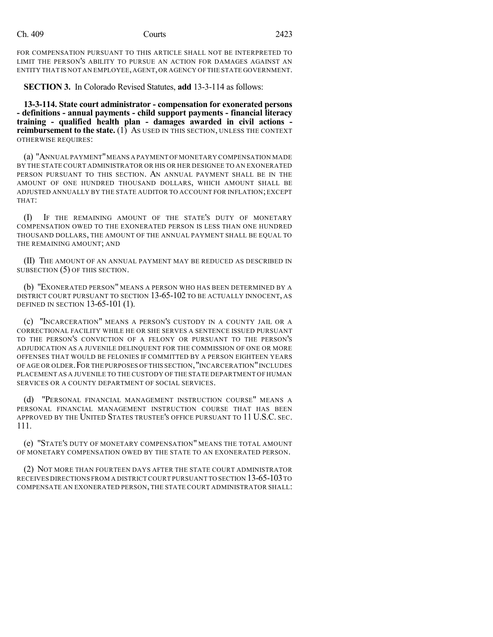FOR COMPENSATION PURSUANT TO THIS ARTICLE SHALL NOT BE INTERPRETED TO LIMIT THE PERSON'S ABILITY TO PURSUE AN ACTION FOR DAMAGES AGAINST AN ENTITY THAT IS NOT AN EMPLOYEE,AGENT,OR AGENCY OFTHE STATE GOVERNMENT.

**SECTION 3.** In Colorado Revised Statutes, **add** 13-3-114 as follows:

**13-3-114. State court administrator - compensation for exonerated persons - definitions - annual payments - child support payments - financial literacy training - qualified health plan - damages awarded in civil actions reimbursement to the state.** (1) As USED IN THIS SECTION, UNLESS THE CONTEXT OTHERWISE REQUIRES:

(a) "ANNUAL PAYMENT"MEANS A PAYMENT OF MONETARY COMPENSATION MADE BY THE STATE COURT ADMINISTRATOR OR HIS OR HER DESIGNEE TO AN EXONERATED PERSON PURSUANT TO THIS SECTION. AN ANNUAL PAYMENT SHALL BE IN THE AMOUNT OF ONE HUNDRED THOUSAND DOLLARS, WHICH AMOUNT SHALL BE ADJUSTED ANNUALLY BY THE STATE AUDITOR TO ACCOUNT FOR INFLATION;EXCEPT THAT:

(I) IF THE REMAINING AMOUNT OF THE STATE'S DUTY OF MONETARY COMPENSATION OWED TO THE EXONERATED PERSON IS LESS THAN ONE HUNDRED THOUSAND DOLLARS, THE AMOUNT OF THE ANNUAL PAYMENT SHALL BE EQUAL TO THE REMAINING AMOUNT; AND

(II) THE AMOUNT OF AN ANNUAL PAYMENT MAY BE REDUCED AS DESCRIBED IN SUBSECTION (5) OF THIS SECTION.

(b) "EXONERATED PERSON" MEANS A PERSON WHO HAS BEEN DETERMINED BY A DISTRICT COURT PURSUANT TO SECTION 13-65-102 TO BE ACTUALLY INNOCENT, AS DEFINED IN SECTION 13-65-101 (1).

(c) "INCARCERATION" MEANS A PERSON'S CUSTODY IN A COUNTY JAIL OR A CORRECTIONAL FACILITY WHILE HE OR SHE SERVES A SENTENCE ISSUED PURSUANT TO THE PERSON'S CONVICTION OF A FELONY OR PURSUANT TO THE PERSON'S ADJUDICATION AS A JUVENILE DELINQUENT FOR THE COMMISSION OF ONE OR MORE OFFENSES THAT WOULD BE FELONIES IF COMMITTED BY A PERSON EIGHTEEN YEARS OF AGE OR OLDER.FOR THE PURPOSES OF THIS SECTION,"INCARCERATION"INCLUDES PLACEMENT AS A JUVENILE TO THE CUSTODY OF THE STATE DEPARTMENT OF HUMAN SERVICES OR A COUNTY DEPARTMENT OF SOCIAL SERVICES.

(d) "PERSONAL FINANCIAL MANAGEMENT INSTRUCTION COURSE" MEANS A PERSONAL FINANCIAL MANAGEMENT INSTRUCTION COURSE THAT HAS BEEN APPROVED BY THE UNITED STATES TRUSTEE'S OFFICE PURSUANT TO 11 U.S.C. SEC. 111.

(e) "STATE'S DUTY OF MONETARY COMPENSATION" MEANS THE TOTAL AMOUNT OF MONETARY COMPENSATION OWED BY THE STATE TO AN EXONERATED PERSON.

(2) NOT MORE THAN FOURTEEN DAYS AFTER THE STATE COURT ADMINISTRATOR RECEIVES DIRECTIONS FROM A DISTRICTCOURT PURSUANT TO SECTION 13-65-103TO COMPENSATE AN EXONERATED PERSON, THE STATE COURT ADMINISTRATOR SHALL: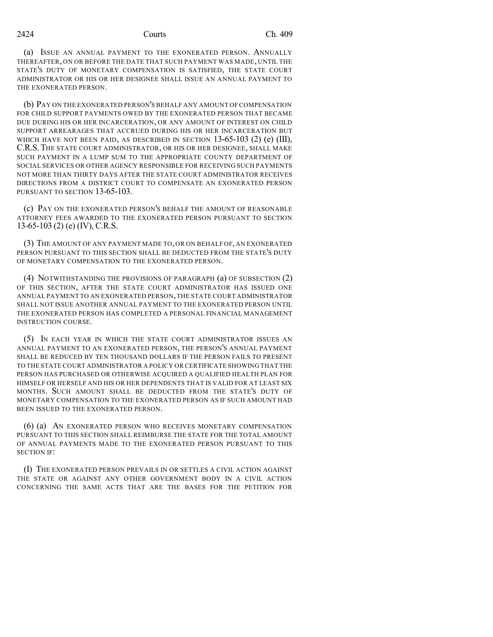(a) ISSUE AN ANNUAL PAYMENT TO THE EXONERATED PERSON. ANNUALLY THEREAFTER, ON OR BEFORE THE DATE THAT SUCH PAYMENT WAS MADE, UNTIL THE STATE'S DUTY OF MONETARY COMPENSATION IS SATISFIED, THE STATE COURT ADMINISTRATOR OR HIS OR HER DESIGNEE SHALL ISSUE AN ANNUAL PAYMENT TO THE EXONERATED PERSON.

(b) PAY ON THE EXONERATED PERSON'S BEHALF ANY AMOUNT OF COMPENSATION FOR CHILD SUPPORT PAYMENTS OWED BY THE EXONERATED PERSON THAT BECAME DUE DURING HIS OR HER INCARCERATION, OR ANY AMOUNT OF INTEREST ON CHILD SUPPORT ARREARAGES THAT ACCRUED DURING HIS OR HER INCARCERATION BUT WHICH HAVE NOT BEEN PAID, AS DESCRIBED IN SECTION  $13-65-103$  (2) (e) (III), C.R.S. THE STATE COURT ADMINISTRATOR, OR HIS OR HER DESIGNEE, SHALL MAKE SUCH PAYMENT IN A LUMP SUM TO THE APPROPRIATE COUNTY DEPARTMENT OF SOCIAL SERVICES OR OTHER AGENCY RESPONSIBLE FOR RECEIVING SUCH PAYMENTS NOT MORE THAN THIRTY DAYS AFTER THE STATE COURT ADMINISTRATOR RECEIVES DIRECTIONS FROM A DISTRICT COURT TO COMPENSATE AN EXONERATED PERSON PURSUANT TO SECTION 13-65-103.

(c) PAY ON THE EXONERATED PERSON'S BEHALF THE AMOUNT OF REASONABLE ATTORNEY FEES AWARDED TO THE EXONERATED PERSON PURSUANT TO SECTION 13-65-103 (2) (e) (IV), C.R.S.

(3) THE AMOUNT OF ANY PAYMENT MADE TO, OR ON BEHALF OF, AN EXONERATED PERSON PURSUANT TO THIS SECTION SHALL BE DEDUCTED FROM THE STATE'S DUTY OF MONETARY COMPENSATION TO THE EXONERATED PERSON.

(4) NOTWITHSTANDING THE PROVISIONS OF PARAGRAPH (a) OF SUBSECTION (2) OF THIS SECTION, AFTER THE STATE COURT ADMINISTRATOR HAS ISSUED ONE ANNUAL PAYMENT TO AN EXONERATED PERSON,THE STATE COURT ADMINISTRATOR SHALL NOT ISSUE ANOTHER ANNUAL PAYMENT TO THE EXONERATED PERSON UNTIL THE EXONERATED PERSON HAS COMPLETED A PERSONAL FINANCIAL MANAGEMENT INSTRUCTION COURSE.

(5) IN EACH YEAR IN WHICH THE STATE COURT ADMINISTRATOR ISSUES AN ANNUAL PAYMENT TO AN EXONERATED PERSON, THE PERSON'S ANNUAL PAYMENT SHALL BE REDUCED BY TEN THOUSAND DOLLARS IF THE PERSON FAILS TO PRESENT TO THE STATE COURT ADMINISTRATOR A POLICY OR CERTIFICATE SHOWING THAT THE PERSON HAS PURCHASED OR OTHERWISE ACQUIRED A QUALIFIED HEALTH PLAN FOR HIMSELF OR HERSELF AND HIS OR HER DEPENDENTS THAT IS VALID FOR AT LEAST SIX MONTHS. SUCH AMOUNT SHALL BE DEDUCTED FROM THE STATE'S DUTY OF MONETARY COMPENSATION TO THE EXONERATED PERSON AS IF SUCH AMOUNT HAD BEEN ISSUED TO THE EXONERATED PERSON.

(6) (a) AN EXONERATED PERSON WHO RECEIVES MONETARY COMPENSATION PURSUANT TO THIS SECTION SHALL REIMBURSE THE STATE FOR THE TOTAL AMOUNT OF ANNUAL PAYMENTS MADE TO THE EXONERATED PERSON PURSUANT TO THIS SECTION IF:

(I) THE EXONERATED PERSON PREVAILS IN OR SETTLES A CIVIL ACTION AGAINST THE STATE OR AGAINST ANY OTHER GOVERNMENT BODY IN A CIVIL ACTION CONCERNING THE SAME ACTS THAT ARE THE BASES FOR THE PETITION FOR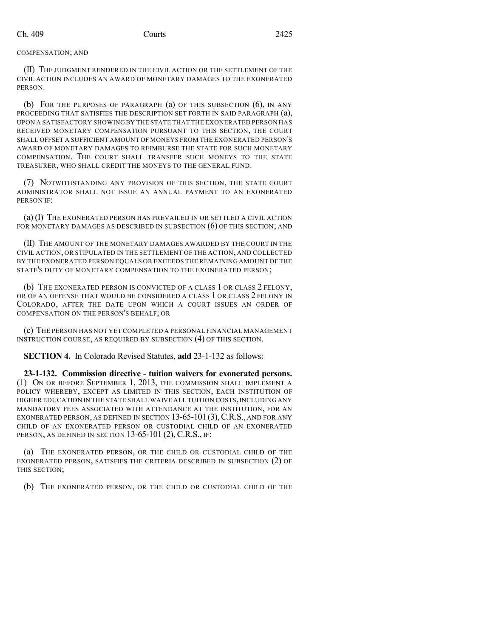#### COMPENSATION; AND

(II) THE JUDGMENT RENDERED IN THE CIVIL ACTION OR THE SETTLEMENT OF THE CIVIL ACTION INCLUDES AN AWARD OF MONETARY DAMAGES TO THE EXONERATED PERSON.

(b) FOR THE PURPOSES OF PARAGRAPH (a) OF THIS SUBSECTION (6), IN ANY PROCEEDING THAT SATISFIES THE DESCRIPTION SET FORTH IN SAID PARAGRAPH (a), UPON A SATISFACTORY SHOWING BY THE STATE THAT THE EXONERATED PERSON HAS RECEIVED MONETARY COMPENSATION PURSUANT TO THIS SECTION, THE COURT SHALL OFFSET A SUFFICIENT AMOUNT OF MONEYS FROM THE EXONERATED PERSON'S AWARD OF MONETARY DAMAGES TO REIMBURSE THE STATE FOR SUCH MONETARY COMPENSATION. THE COURT SHALL TRANSFER SUCH MONEYS TO THE STATE TREASURER, WHO SHALL CREDIT THE MONEYS TO THE GENERAL FUND.

(7) NOTWITHSTANDING ANY PROVISION OF THIS SECTION, THE STATE COURT ADMINISTRATOR SHALL NOT ISSUE AN ANNUAL PAYMENT TO AN EXONERATED PERSON IF:

(a) (I) THE EXONERATED PERSON HAS PREVAILED IN OR SETTLED A CIVIL ACTION FOR MONETARY DAMAGES AS DESCRIBED IN SUBSECTION (6) OF THIS SECTION; AND

(II) THE AMOUNT OF THE MONETARY DAMAGES AWARDED BY THE COURT IN THE CIVIL ACTION, OR STIPULATED IN THE SETTLEMENT OF THE ACTION, AND COLLECTED BY THE EXONERATED PERSON EQUALS OR EXCEEDS THE REMAINING AMOUNT OF THE STATE'S DUTY OF MONETARY COMPENSATION TO THE EXONERATED PERSON;

(b) THE EXONERATED PERSON IS CONVICTED OF A CLASS 1 OR CLASS 2 FELONY, OR OF AN OFFENSE THAT WOULD BE CONSIDERED A CLASS 1 OR CLASS 2 FELONY IN COLORADO, AFTER THE DATE UPON WHICH A COURT ISSUES AN ORDER OF COMPENSATION ON THE PERSON'S BEHALF; OR

(c) THE PERSON HAS NOT YET COMPLETED A PERSONAL FINANCIAL MANAGEMENT INSTRUCTION COURSE, AS REQUIRED BY SUBSECTION (4) OF THIS SECTION.

**SECTION 4.** In Colorado Revised Statutes, **add** 23-1-132 as follows:

**23-1-132. Commission directive - tuition waivers for exonerated persons.** (1) ON OR BEFORE SEPTEMBER 1, 2013, THE COMMISSION SHALL IMPLEMENT A POLICY WHEREBY, EXCEPT AS LIMITED IN THIS SECTION, EACH INSTITUTION OF HIGHER EDUCATION IN THE STATE SHALL WAIVE ALL TUITION COSTS, INCLUDING ANY MANDATORY FEES ASSOCIATED WITH ATTENDANCE AT THE INSTITUTION, FOR AN EXONERATED PERSON, AS DEFINED IN SECTION 13-65-101(3),C.R.S., AND FOR ANY CHILD OF AN EXONERATED PERSON OR CUSTODIAL CHILD OF AN EXONERATED PERSON, AS DEFINED IN SECTION 13-65-101 (2), C.R.S., IF:

(a) THE EXONERATED PERSON, OR THE CHILD OR CUSTODIAL CHILD OF THE EXONERATED PERSON, SATISFIES THE CRITERIA DESCRIBED IN SUBSECTION (2) OF THIS SECTION;

(b) THE EXONERATED PERSON, OR THE CHILD OR CUSTODIAL CHILD OF THE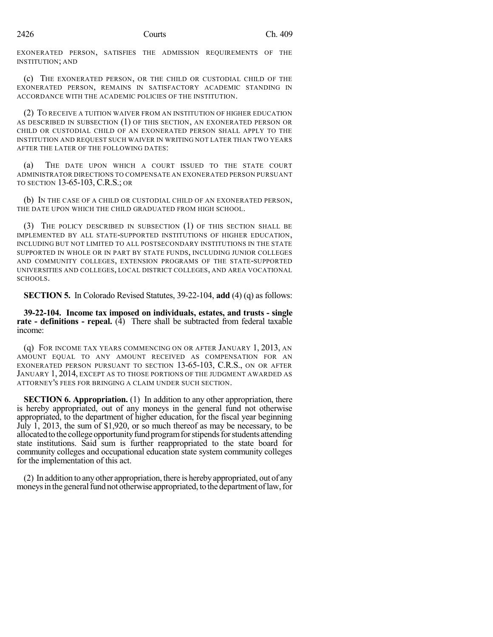EXONERATED PERSON, SATISFIES THE ADMISSION REQUIREMENTS OF THE INSTITUTION; AND

(c) THE EXONERATED PERSON, OR THE CHILD OR CUSTODIAL CHILD OF THE EXONERATED PERSON, REMAINS IN SATISFACTORY ACADEMIC STANDING IN ACCORDANCE WITH THE ACADEMIC POLICIES OF THE INSTITUTION.

(2) TO RECEIVE A TUITION WAIVER FROM AN INSTITUTION OF HIGHER EDUCATION AS DESCRIBED IN SUBSECTION (1) OF THIS SECTION, AN EXONERATED PERSON OR CHILD OR CUSTODIAL CHILD OF AN EXONERATED PERSON SHALL APPLY TO THE INSTITUTION AND REQUEST SUCH WAIVER IN WRITING NOT LATER THAN TWO YEARS AFTER THE LATER OF THE FOLLOWING DATES:

(a) THE DATE UPON WHICH A COURT ISSUED TO THE STATE COURT ADMINISTRATOR DIRECTIONS TO COMPENSATE AN EXONERATED PERSON PURSUANT TO SECTION 13-65-103, C.R.S.; OR

(b) IN THE CASE OF A CHILD OR CUSTODIAL CHILD OF AN EXONERATED PERSON, THE DATE UPON WHICH THE CHILD GRADUATED FROM HIGH SCHOOL.

(3) THE POLICY DESCRIBED IN SUBSECTION (1) OF THIS SECTION SHALL BE IMPLEMENTED BY ALL STATE-SUPPORTED INSTITUTIONS OF HIGHER EDUCATION, INCLUDING BUT NOT LIMITED TO ALL POSTSECONDARY INSTITUTIONS IN THE STATE SUPPORTED IN WHOLE OR IN PART BY STATE FUNDS, INCLUDING JUNIOR COLLEGES AND COMMUNITY COLLEGES, EXTENSION PROGRAMS OF THE STATE-SUPPORTED UNIVERSITIES AND COLLEGES, LOCAL DISTRICT COLLEGES, AND AREA VOCATIONAL SCHOOLS.

**SECTION 5.** In Colorado Revised Statutes, 39-22-104, **add** (4) (q) as follows:

**39-22-104. Income tax imposed on individuals, estates, and trusts - single rate - definitions - repeal.** (4) There shall be subtracted from federal taxable income:

(q) FOR INCOME TAX YEARS COMMENCING ON OR AFTER JANUARY 1, 2013, AN AMOUNT EQUAL TO ANY AMOUNT RECEIVED AS COMPENSATION FOR AN EXONERATED PERSON PURSUANT TO SECTION 13-65-103, C.R.S., ON OR AFTER JANUARY 1, 2014, EXCEPT AS TO THOSE PORTIONS OF THE JUDGMENT AWARDED AS ATTORNEY'S FEES FOR BRINGING A CLAIM UNDER SUCH SECTION.

**SECTION 6. Appropriation.** (1) In addition to any other appropriation, there is hereby appropriated, out of any moneys in the general fund not otherwise appropriated, to the department of higher education, for the fiscal year beginning July 1, 2013, the sum of \$1,920, or so much thereof as may be necessary, to be allocated to the college opportunity fund program for stipends for students attending state institutions. Said sum is further reappropriated to the state board for community colleges and occupational education state system community colleges for the implementation of this act.

(2) In addition to anyother appropriation, there is herebyappropriated, out of any moneys in the general fund not otherwise appropriated, to the department of law, for